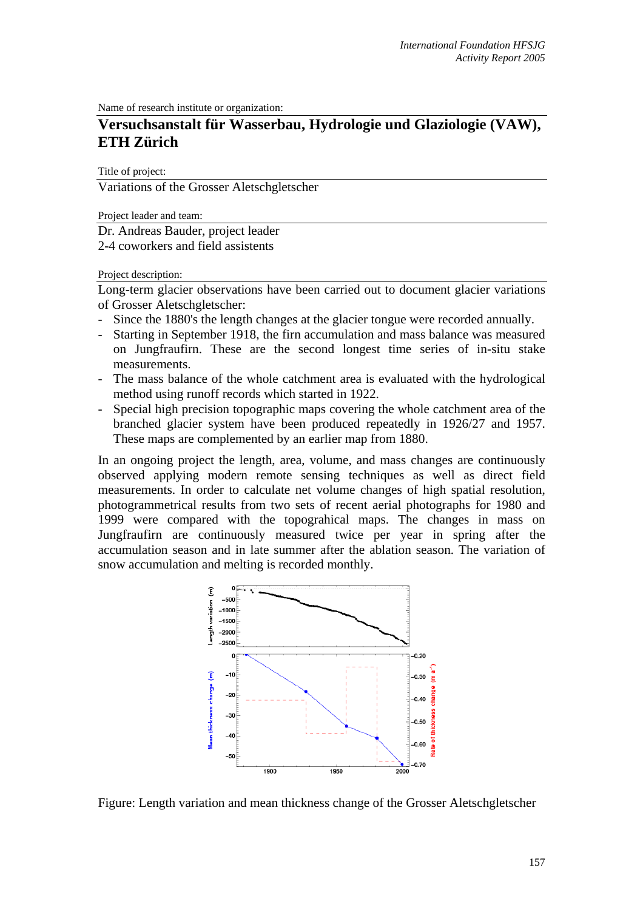Name of research institute or organization:

## **Versuchsanstalt für Wasserbau, Hydrologie und Glaziologie (VAW), ETH Zürich**

Title of project:

Variations of the Grosser Aletschgletscher

Project leader and team:

Dr. Andreas Bauder, project leader 2-4 coworkers and field assistents

Project description:

Long-term glacier observations have been carried out to document glacier variations of Grosser Aletschgletscher:

- Since the 1880's the length changes at the glacier tongue were recorded annually.
- Starting in September 1918, the firn accumulation and mass balance was measured on Jungfraufirn. These are the second longest time series of in-situ stake measurements.
- The mass balance of the whole catchment area is evaluated with the hydrological method using runoff records which started in 1922.
- Special high precision topographic maps covering the whole catchment area of the branched glacier system have been produced repeatedly in 1926/27 and 1957. These maps are complemented by an earlier map from 1880.

In an ongoing project the length, area, volume, and mass changes are continuously observed applying modern remote sensing techniques as well as direct field measurements. In order to calculate net volume changes of high spatial resolution, photogrammetrical results from two sets of recent aerial photographs for 1980 and 1999 were compared with the topograhical maps. The changes in mass on Jungfraufirn are continuously measured twice per year in spring after the accumulation season and in late summer after the ablation season. The variation of snow accumulation and melting is recorded monthly.



Figure: Length variation and mean thickness change of the Grosser Aletschgletscher